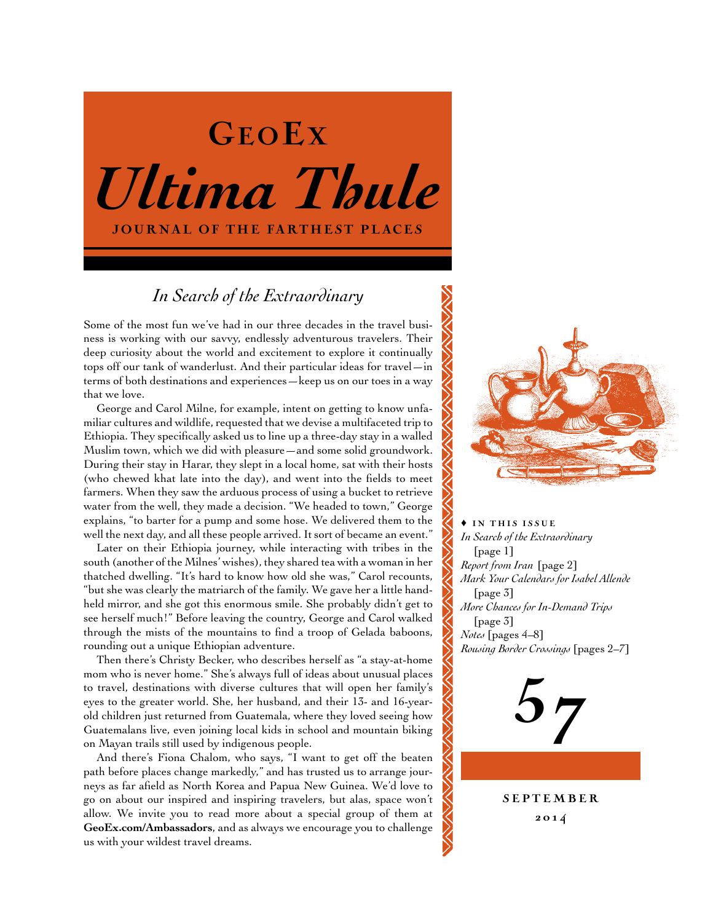# *Ultima Thule* JOURNAL OF THE FARTHEST PLACES GEOEX

# *In Search of the Extraordinary*

Some of the most fun we've had in our three decades in the travel business is working with our savvy, endlessly adventurous travelers. Their deep curiosity about the world and excitement to explore it continually tops off our tank of wanderlust. And their particular ideas for travel—in terms of both destinations and experiences—keep us on our toes in a way that we love.

George and Carol Milne, for example, intent on getting to know unfamiliar cultures and wildlife, requested that we devise a multifaceted trip to Ethiopia. They specifically asked us to line up a three-day stay in a walled Muslim town, which we did with pleasure—and some solid groundwork. During their stay in Harar, they slept in a local home, sat with their hosts (who chewed khat late into the day), and went into the fields to meet farmers. When they saw the arduous process of using a bucket to retrieve water from the well, they made a decision. "We headed to town," George explains, "to barter for a pump and some hose. We delivered them to the well the next day, and all these people arrived. It sort of became an event."

Later on their Ethiopia journey, while interacting with tribes in the south (another of the Milnes' wishes), they shared tea with a woman in her thatched dwelling. "It's hard to know how old she was," Carol recounts, "but she was clearly the matriarch of the family. We gave her a little handheld mirror, and she got this enormous smile. She probably didn't get to see herself much!" Before leaving the country, George and Carol walked through the mists of the mountains to find a troop of Gelada baboons, rounding out a unique Ethiopian adventure.

Then there's Christy Becker, who describes herself as "a stay-at-home mom who is never home." She's always full of ideas about unusual places to travel, destinations with diverse cultures that will open her family's eyes to the greater world. She, her husband, and their 13- and 16-yearold children just returned from Guatemala, where they loved seeing how Guatemalans live, even joining local kids in school and mountain biking on Mayan trails still used by indigenous people.

And there's Fiona Chalom, who says, "I want to get off the beaten path before places change markedly," and has trusted us to arrange journeys as far afield as North Korea and Papua New Guinea. We'd love to go on about our inspired and inspiring travelers, but alas, space won't allow. We invite you to read more about a special group of them at **[GeoEx.com/Ambassadors](http://www.geoex.com/about/ambassadors)**, and as always we encourage you to challenge us with your wildest travel dreams.



 $\triangle$  IN THIS ISSUE *In Search of the Extraordinary*  [page 1] *Report from Iran* [page 2] *Mark Your Calendars for Isabel Allende*  [page 3] *More Chances for In-Demand Trips*  [page 3] *Notes* [pages 4–8] *Rousing Border Crossings* [pages 2–7]



**SEPTEMBER** 20 1 4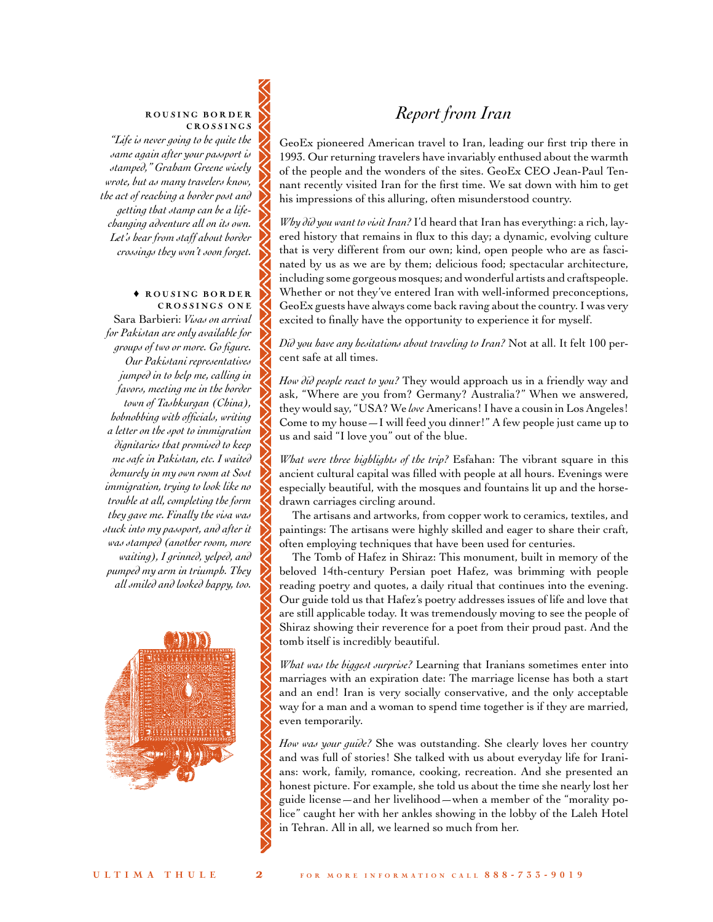# ROUSING BORDER CROSSINGS

*"Life is never going to be quite the same again after your passport is stamped," Graham Greene wisely wrote, but as many travelers know, the act of reaching a border post and getting that stamp can be a lifechanging adventure all on its own. Let's hear from staff about border crossings they won't soon forget.*

#### $\triangle$  ROUSING BORDER CROSSINGS ONE

Sara Barbieri: *Visas on arrival for Pakistan are only available for groups of two or more. Go figure. Our Pakistani representatives jumped in to help me, calling in favors, meeting me in the border town of Tashkurgan (China), hobnobbing with officials, writing a letter on the spot to immigration dignitaries that promised to keep me safe in Pakistan, etc. I waited demurely in my own room at Sost immigration, trying to look like no trouble at all, completing the form they gave me. Finally the visa was stuck into my passport, and after it was stamped (another room, more waiting), I grinned, yelped, and pumped my arm in triumph. They all smiled and looked happy, too.* 



# *Report from Iran*

GeoEx pioneered American travel to Iran, leading our first trip there in 1993. Our returning travelers have invariably enthused about the warmth of the people and the wonders of the sites. GeoEx CEO Jean-Paul Tennant recently visited Iran for the first time. We sat down with him to get his impressions of this alluring, often misunderstood country.

*Why did you want to visit Iran?* I'd heard that Iran has everything: a rich, layered history that remains in flux to this day; a dynamic, evolving culture that is very different from our own; kind, open people who are as fascinated by us as we are by them; delicious food; spectacular architecture, including some gorgeous mosques; and wonderful artists and craftspeople. Whether or not they've entered Iran with well-informed preconceptions, GeoEx guests have always come back raving about the country. I was very excited to finally have the opportunity to experience it for myself.

*Did you have any hesitations about traveling to Iran?* Not at all. It felt 100 percent safe at all times.

*How did people react to you?* They would approach us in a friendly way and ask, "Where are you from? Germany? Australia?" When we answered, they would say, "USA? We *love* Americans! I have a cousin in Los Angeles! Come to my house—I will feed you dinner!" A few people just came up to us and said "I love you" out of the blue.

*What were three highlights of the trip?* Esfahan: The vibrant square in this ancient cultural capital was filled with people at all hours. Evenings were especially beautiful, with the mosques and fountains lit up and the horsedrawn carriages circling around.

The artisans and artworks, from copper work to ceramics, textiles, and paintings: The artisans were highly skilled and eager to share their craft, often employing techniques that have been used for centuries.

The Tomb of Hafez in Shiraz: This monument, built in memory of the beloved 14th-century Persian poet Hafez, was brimming with people reading poetry and quotes, a daily ritual that continues into the evening. Our guide told us that Hafez's poetry addresses issues of life and love that are still applicable today. It was tremendously moving to see the people of Shiraz showing their reverence for a poet from their proud past. And the tomb itself is incredibly beautiful.

*What was the biggest surprise?* Learning that Iranians sometimes enter into marriages with an expiration date: The marriage license has both a start and an end! Iran is very socially conservative, and the only acceptable way for a man and a woman to spend time together is if they are married, even temporarily.

*How was your guide?* She was outstanding. She clearly loves her country and was full of stories! She talked with us about everyday life for Iranians: work, family, romance, cooking, recreation. And she presented an honest picture. For example, she told us about the time she nearly lost her guide license—and her livelihood—when a member of the "morality police" caught her with her ankles showing in the lobby of the Laleh Hotel in Tehran. All in all, we learned so much from her.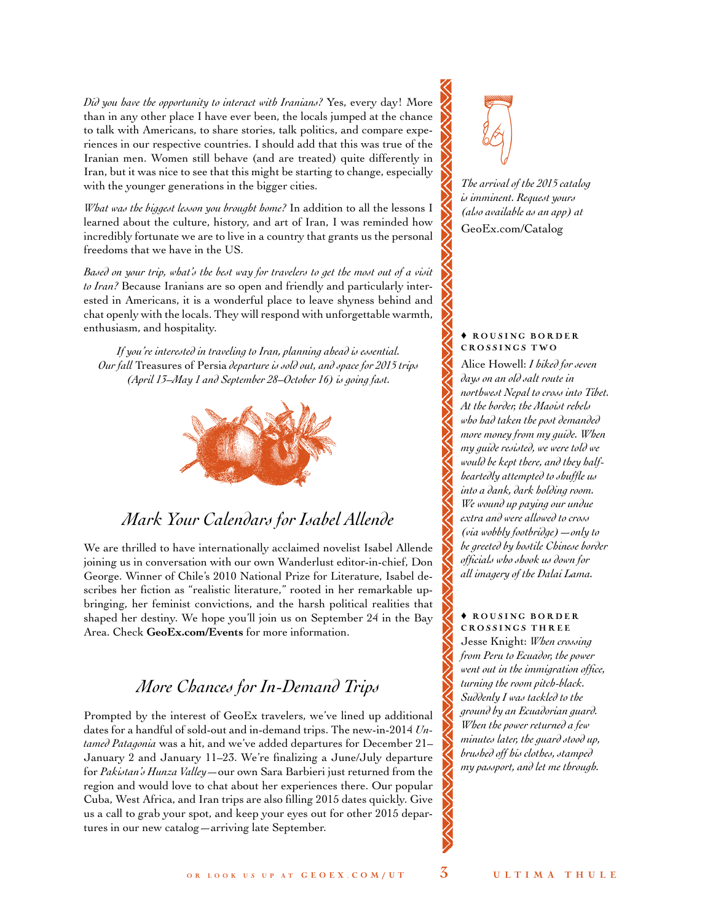*Did you have the opportunity to interact with Iranians?* Yes, every day! More than in any other place I have ever been, the locals jumped at the chance to talk with Americans, to share stories, talk politics, and compare experiences in our respective countries. I should add that this was true of the Iranian men. Women still behave (and are treated) quite differently in Iran, but it was nice to see that this might be starting to change, especially with the younger generations in the bigger cities.

*What was the biggest lesson you brought home?* In addition to all the lessons I learned about the culture, history, and art of Iran, I was reminded how incredibly fortunate we are to live in a country that grants us the personal freedoms that we have in the US.

*Based on your trip, what's the best way for travelers to get the most out of a visit to Iran?* Because Iranians are so open and friendly and particularly interested in Americans, it is a wonderful place to leave shyness behind and chat openly with the locals. They will respond with unforgettable warmth, enthusiasm, and hospitality.

*If you're interested in traveling to Iran, planning ahead is essential. Our fall* Treasures of Persia *departure is sold out, and space for 2015 trips (April 13–May 1 and September 28–October 16) is going fast.*



# *Mark Your Calendars for Isabel Allende*

We are thrilled to have internationally acclaimed novelist Isabel Allende joining us in conversation with our own Wanderlust editor-in-chief, Don George. Winner of Chile's 2010 National Prize for Literature, Isabel describes her fiction as "realistic literature," rooted in her remarkable upbringing, her feminist convictions, and the harsh political realities that shaped her destiny. We hope you'll join us on September 24 in the Bay Area. Check **[GeoEx.com/Events](http://www.geoex.com/about/events)** for more information.

# *More Chances for In-Demand Trips*

Prompted by the interest of GeoEx travelers, we've lined up additional dates for a handful of sold-out and in-demand trips. The new-in-2014 *Untamed Patagonia* was a hit, and we've added departures for December 21– January 2 and January 11–23. We're finalizing a June/July departure for *Pakistan's Hunza Valley*—our own Sara Barbieri just returned from the region and would love to chat about her experiences there. Our popular Cuba, West Africa, and Iran trips are also filling 2015 dates quickly. Give us a call to grab your spot, and keep your eyes out for other 2015 departures in our new catalog—arriving late September.



*The arrival of the 2015 catalog is imminent. Request yours (also available as an app) at* [GeoEx.com/Catalog](http://www.geoex.com/forms/catalog-request)

## $\triangle$  ROUSING BORDER CROSSINGS TWO

Alice Howell: *I hiked for seven days on an old salt route in northwest Nepal to cross into Tibet. At the border, the Maoist rebels who had taken the post demanded more money from my guide. When my guide resisted, we were told we would be kept there, and they halfheartedly attempted to shuffle us into a dank, dark holding room. We wound up paying our undue extra and were allowed to cross (via wobbly footbridge)—only to be greeted by hostile Chinese border officials who shook us down for all imagery of the Dalai Lama.*

# $\triangle$  ROUSING BORDER CROSSINGS THREE

Jesse Knight: *When crossing from Peru to Ecuador, the power went out in the immigration office, turning the room pitch-black. Suddenly I was tackled to the ground by an Ecuadorian guard. When the power returned a few minutes later, the guard stood up, brushed off his clothes, stamped my passport, and let me through.*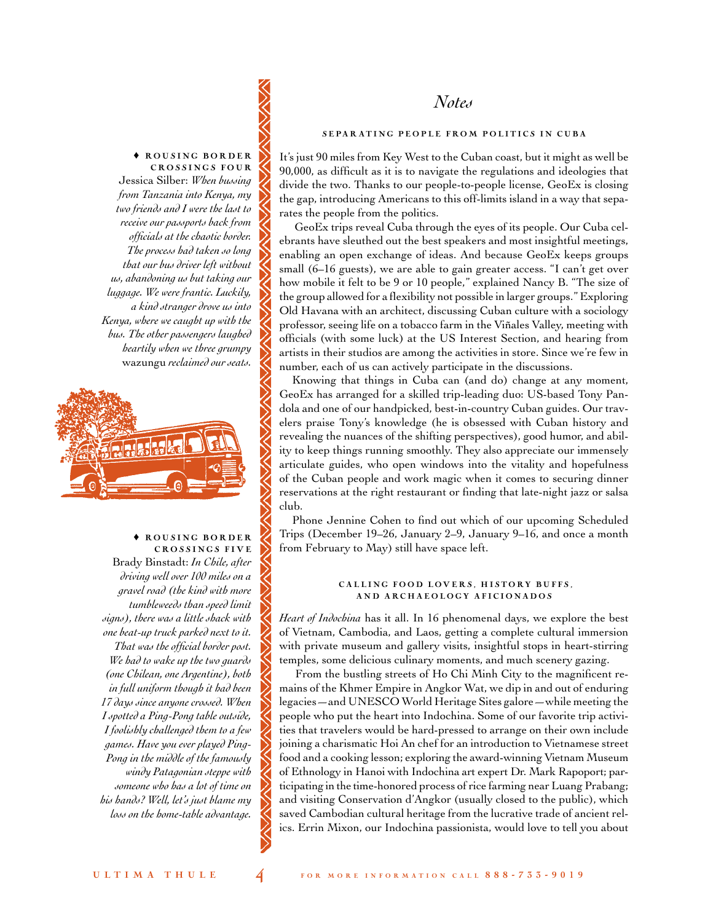*Notes* 

# $\triangle$  ROUSING BORDER

CROSSINGS FOUR Jessica Silber: *When bussing from Tanzania into Kenya, my two friends and I were the last to receive our passports back from officials at the chaotic border. The process had taken so long that our bus driver left without us, abandoning us but taking our luggage. We were frantic. Luckily, a kind stranger drove us into Kenya, where we caught up with the bus. The other passengers laughed heartily when we three grumpy*  wazungu *reclaimed our seats.* 



 $\triangle$  ROUSING BORDER CROSSINGS FIVE Brady Binstadt: *In Chile, after driving well over 100 miles on a gravel road (the kind with more tumbleweeds than speed limit signs), there was a little shack with one beat-up truck parked next to it. That was the official border post. We had to wake up the two guards (one Chilean, one Argentine), both in full uniform though it had been 17 days since anyone crossed. When I spotted a Ping-Pong table outside, I foolishly challenged them to a few games. Have you ever played Ping-Pong in the middle of the famously windy Patagonian steppe with someone who has a lot of time on his hands? Well, let's just blame my loss on the home-table advantage.* 

# SEPARATING PEOPLE FROM POLITICS IN CUBA

It's just 90 miles from Key West to the Cuban coast, but it might as well be 90,000, as difficult as it is to navigate the regulations and ideologies that divide the two. Thanks to our people-to-people license, GeoEx is closing the gap, introducing Americans to this off-limits island in a way that separates the people from the politics.

GeoEx trips reveal Cuba through the eyes of its people. Our Cuba celebrants have sleuthed out the best speakers and most insightful meetings, enabling an open exchange of ideas. And because GeoEx keeps groups small (6–16 guests), we are able to gain greater access. "I can't get over how mobile it felt to be 9 or 10 people," explained Nancy B. "The size of the group allowed for a flexibility not possible in larger groups." Exploring Old Havana with an architect, discussing Cuban culture with a sociology professor, seeing life on a tobacco farm in the Viñales Valley, meeting with officials (with some luck) at the US Interest Section, and hearing from artists in their studios are among the activities in store. Since we're few in number, each of us can actively participate in the discussions.

Knowing that things in Cuba can (and do) change at any moment, GeoEx has arranged for a skilled trip-leading duo: US-based Tony Pandola and one of our handpicked, best-in-country Cuban guides. Our travelers praise Tony's knowledge (he is obsessed with Cuban history and revealing the nuances of the shifting perspectives), good humor, and ability to keep things running smoothly. They also appreciate our immensely articulate guides, who open windows into the vitality and hopefulness of the Cuban people and work magic when it comes to securing dinner reservations at the right restaurant or finding that late-night jazz or salsa club.

Phone Jennine Cohen to find out which of our upcoming Scheduled Trips (December 19–26, January 2–9, January 9–16, and once a month from February to May) still have space left.

## CALLING FOOD LOVERS, HISTORY BUFFS, AND ARCHAEOLOGY AFICIONADOS

*Heart of Indochina* has it all. In 16 phenomenal days, we explore the best of Vietnam, Cambodia, and Laos, getting a complete cultural immersion with private museum and gallery visits, insightful stops in heart-stirring temples, some delicious culinary moments, and much scenery gazing.

From the bustling streets of Ho Chi Minh City to the magnificent remains of the Khmer Empire in Angkor Wat, we dip in and out of enduring legacies—and UNESCO World Heritage Sites galore—while meeting the people who put the heart into Indochina. Some of our favorite trip activities that travelers would be hard-pressed to arrange on their own include joining a charismatic Hoi An chef for an introduction to Vietnamese street food and a cooking lesson; exploring the award-winning Vietnam Museum of Ethnology in Hanoi with Indochina art expert Dr. Mark Rapoport; participating in the time-honored process of rice farming near Luang Prabang; and visiting Conservation d'Angkor (usually closed to the public), which saved Cambodian cultural heritage from the lucrative trade of ancient relics. Errin Mixon, our Indochina passionista, would love to tell you about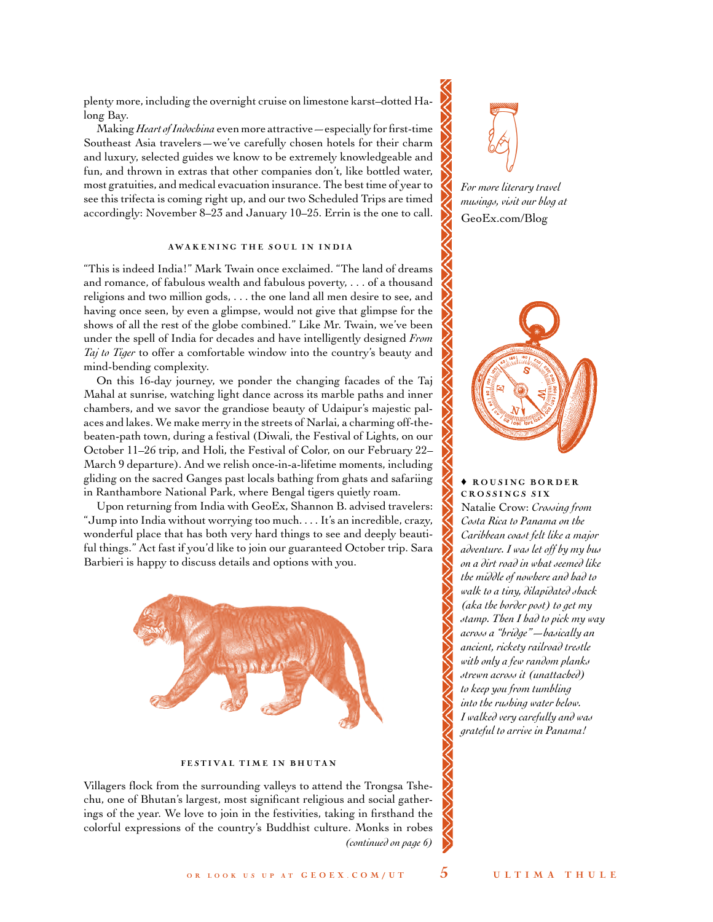plenty more, including the overnight cruise on limestone karst–dotted Halong Bay.

Making *Heart of Indochina* even more attractive—especially for first-time Southeast Asia travelers—we've carefully chosen hotels for their charm and luxury, selected guides we know to be extremely knowledgeable and fun, and thrown in extras that other companies don't, like bottled water, most gratuities, and medical evacuation insurance. The best time of year to see this trifecta is coming right up, and our two Scheduled Trips are timed accordingly: November 8–23 and January 10–25. Errin is the one to call.

## AWAKENING THE SOUL IN INDIA

"This is indeed India!" Mark Twain once exclaimed. "The land of dreams and romance, of fabulous wealth and fabulous poverty, . . . of a thousand religions and two million gods, . . . the one land all men desire to see, and having once seen, by even a glimpse, would not give that glimpse for the shows of all the rest of the globe combined." Like Mr. Twain, we've been under the spell of India for decades and have intelligently designed *From Taj to Tiger* to offer a comfortable window into the country's beauty and mind-bending complexity.

On this 16-day journey, we ponder the changing facades of the Taj Mahal at sunrise, watching light dance across its marble paths and inner chambers, and we savor the grandiose beauty of Udaipur's majestic palaces and lakes. We make merry in the streets of Narlai, a charming off-thebeaten-path town, during a festival (Diwali, the Festival of Lights, on our October 11–26 trip, and Holi, the Festival of Color, on our February 22– March 9 departure). And we relish once-in-a-lifetime moments, including gliding on the sacred Ganges past locals bathing from ghats and safariing in Ranthambore National Park, where Bengal tigers quietly roam.

Upon returning from India with GeoEx, Shannon B. advised travelers: "Jump into India without worrying too much. . . . It's an incredible, crazy, wonderful place that has both very hard things to see and deeply beautiful things." Act fast if you'd like to join our guaranteed October trip. Sara Barbieri is happy to discuss details and options with you.



#### FESTIVAL TIME IN BHUTAN

Villagers flock from the surrounding valleys to attend the Trongsa Tshechu, one of Bhutan's largest, most significant religious and social gatherings of the year. We love to join in the festivities, taking in firsthand the colorful expressions of the country's Buddhist culture. Monks in robes *(continued on page 6)*



*For more literary travel musings, visit our blog at* [GeoEx.com/Blog](http://www.geoex.com/blog)



#### $\triangle$  ROUSING BORDER CROSSINGS SIX

Natalie Crow: *Crossing from Costa Rica to Panama on the Caribbean coast felt like a major adventure. I was let off by my bus on a dirt road in what seemed like the middle of nowhere and had to walk to a tiny, dilapidated shack (aka the border post) to get my stamp. Then I had to pick my way across a "bridge"—basically an ancient, rickety railroad trestle with only a few random planks strewn across it (unattached) to keep you from tumbling into the rushing water below. I walked very carefully and was grateful to arrive in Panama!*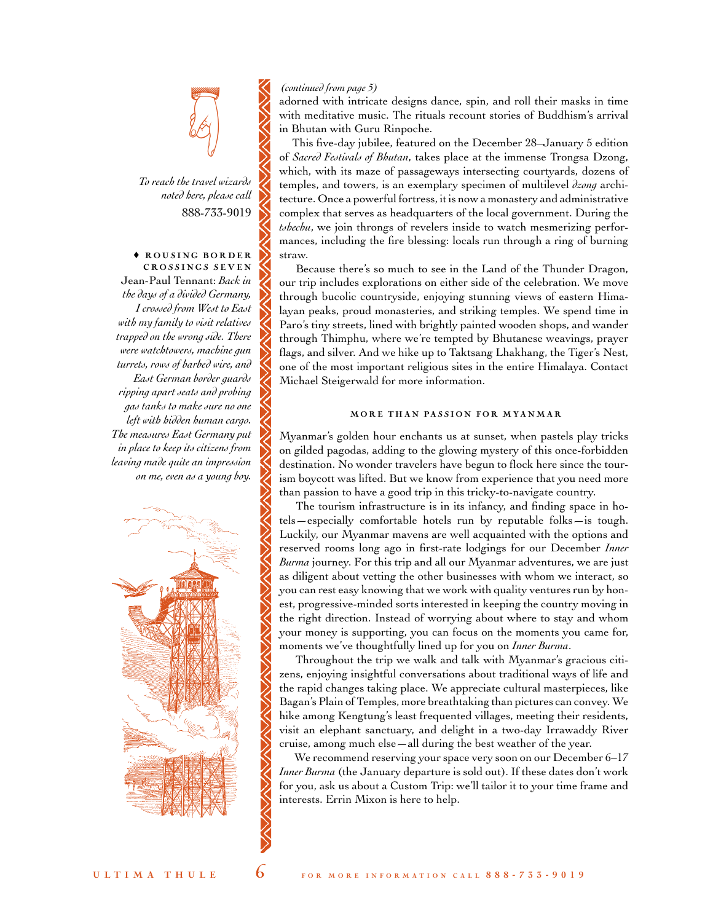

*To reach the travel wizards noted here, please call* 888-733-9019

## $\triangle$  ROUSING BORDER CROSSINGS SEVEN Jean-Paul Tennant: *Back in*

*the days of a divided Germany, I crossed from West to East with my family to visit relatives trapped on the wrong side. There were watchtowers, machine gun turrets, rows of barbed wire, and East German border guards ripping apart seats and probing gas tanks to make sure no one left with hidden human cargo. The measures East Germany put in place to keep its citizens from leaving made quite an impression on me, even as a young boy.*



## *(continued from page 5)*

adorned with intricate designs dance, spin, and roll their masks in time with meditative music. The rituals recount stories of Buddhism's arrival in Bhutan with Guru Rinpoche.

This five-day jubilee, featured on the December 28–January 5 edition of *Sacred Festivals of Bhutan*, takes place at the immense Trongsa Dzong, which, with its maze of passageways intersecting courtyards, dozens of temples, and towers, is an exemplary specimen of multilevel *dzong* architecture. Once a powerful fortress, it is now a monastery and administrative complex that serves as headquarters of the local government. During the *tshechu*, we join throngs of revelers inside to watch mesmerizing performances, including the fire blessing: locals run through a ring of burning straw.

Because there's so much to see in the Land of the Thunder Dragon, our trip includes explorations on either side of the celebration. We move through bucolic countryside, enjoying stunning views of eastern Himalayan peaks, proud monasteries, and striking temples. We spend time in Paro's tiny streets, lined with brightly painted wooden shops, and wander through Thimphu, where we're tempted by Bhutanese weavings, prayer flags, and silver. And we hike up to Taktsang Lhakhang, the Tiger's Nest, one of the most important religious sites in the entire Himalaya. Contact Michael Steigerwald for more information.

#### MORE THAN PASSION FOR MYANMAR

Myanmar's golden hour enchants us at sunset, when pastels play tricks on gilded pagodas, adding to the glowing mystery of this once-forbidden destination. No wonder travelers have begun to flock here since the tourism boycott was lifted. But we know from experience that you need more than passion to have a good trip in this tricky-to-navigate country.

The tourism infrastructure is in its infancy, and finding space in hotels—especially comfortable hotels run by reputable folks—is tough. Luckily, our Myanmar mavens are well acquainted with the options and reserved rooms long ago in first-rate lodgings for our December *Inner Burma* journey. For this trip and all our Myanmar adventures, we are just as diligent about vetting the other businesses with whom we interact, so you can rest easy knowing that we work with quality ventures run by honest, progressive-minded sorts interested in keeping the country moving in the right direction. Instead of worrying about where to stay and whom your money is supporting, you can focus on the moments you came for, moments we've thoughtfully lined up for you on *Inner Burma*.

Throughout the trip we walk and talk with Myanmar's gracious citizens, enjoying insightful conversations about traditional ways of life and the rapid changes taking place. We appreciate cultural masterpieces, like Bagan's Plain of Temples, more breathtaking than pictures can convey. We hike among Kengtung's least frequented villages, meeting their residents, visit an elephant sanctuary, and delight in a two-day Irrawaddy River cruise, among much else—all during the best weather of the year.

We recommend reserving your space very soon on our December 6–17 *Inner Burma* (the January departure is sold out). If these dates don't work for you, ask us about a Custom Trip: we'll tailor it to your time frame and interests. Errin Mixon is here to help.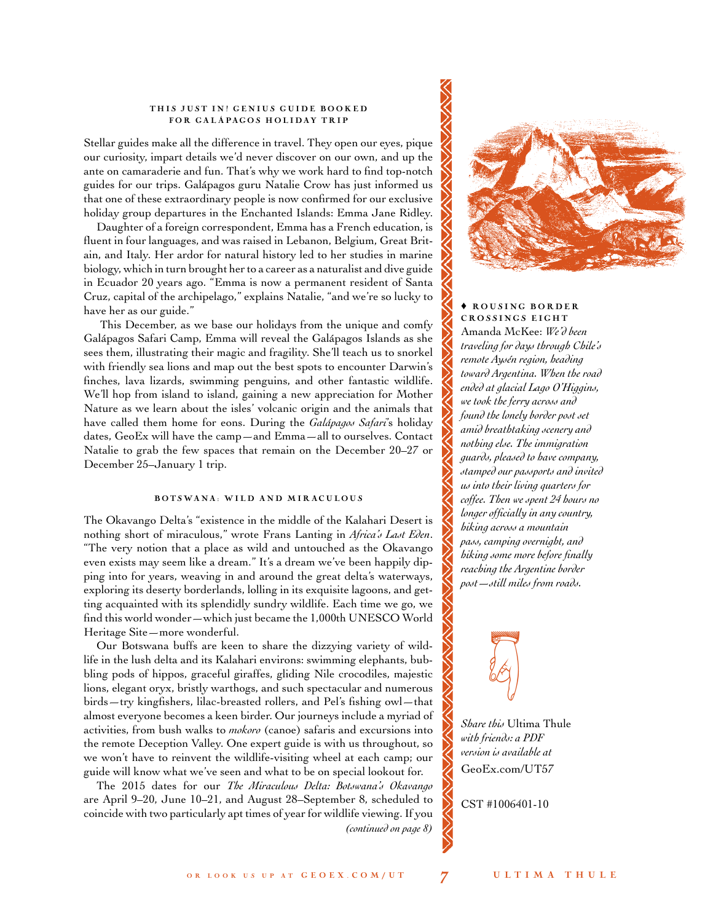#### THIS JUST IN! GENIUS GUIDE BOOKED FOR GALÁPAGOS HOLIDAY TRIP

Stellar guides make all the difference in travel. They open our eyes, pique our curiosity, impart details we'd never discover on our own, and up the ante on camaraderie and fun. That's why we work hard to find top-notch guides for our trips. Galápagos guru Natalie Crow has just informed us that one of these extraordinary people is now confirmed for our exclusive holiday group departures in the Enchanted Islands: Emma Jane Ridley.

Daughter of a foreign correspondent, Emma has a French education, is fluent in four languages, and was raised in Lebanon, Belgium, Great Britain, and Italy. Her ardor for natural history led to her studies in marine biology, which in turn brought her to a career as a naturalist and dive guide in Ecuador 20 years ago. "Emma is now a permanent resident of Santa Cruz, capital of the archipelago," explains Natalie, "and we're so lucky to have her as our guide."

This December, as we base our holidays from the unique and comfy Galápagos Safari Camp, Emma will reveal the Galápagos Islands as she sees them, illustrating their magic and fragility. She'll teach us to snorkel with friendly sea lions and map out the best spots to encounter Darwin's finches, lava lizards, swimming penguins, and other fantastic wildlife. We'll hop from island to island, gaining a new appreciation for Mother Nature as we learn about the isles' volcanic origin and the animals that have called them home for eons. During the *Galápagos Safari*'s holiday dates, GeoEx will have the camp—and Emma—all to ourselves. Contact Natalie to grab the few spaces that remain on the December 20–27 or December 25–January 1 trip.

## BOTSWANA: WILD AND MIRACULOUS

The Okavango Delta's "existence in the middle of the Kalahari Desert is nothing short of miraculous," wrote Frans Lanting in *Africa's Last Eden*. "The very notion that a place as wild and untouched as the Okavango even exists may seem like a dream." It's a dream we've been happily dipping into for years, weaving in and around the great delta's waterways, exploring its deserty borderlands, lolling in its exquisite lagoons, and getting acquainted with its splendidly sundry wildlife. Each time we go, we find this world wonder—which just became the 1,000th UNESCO World Heritage Site—more wonderful.

Our Botswana buffs are keen to share the dizzying variety of wildlife in the lush delta and its Kalahari environs: swimming elephants, bubbling pods of hippos, graceful giraffes, gliding Nile crocodiles, majestic lions, elegant oryx, bristly warthogs, and such spectacular and numerous birds—try kingfishers, lilac-breasted rollers, and Pel's fishing owl—that almost everyone becomes a keen birder. Our journeys include a myriad of activities, from bush walks to *mokoro* (canoe) safaris and excursions into the remote Deception Valley. One expert guide is with us throughout, so we won't have to reinvent the wildlife-visiting wheel at each camp; our guide will know what we've seen and what to be on special lookout for.

The 2015 dates for our *The Miraculous Delta: Botswana's Okavango* are April 9–20, June 10–21, and August 28–September 8, scheduled to coincide with two particularly apt times of year for wildlife viewing. If you *(continued on page 8)*



# $\triangle$  ROUSING BORDER CROSSINGS EIGHT Amanda McKee: *We'd been traveling for days through Chile's remote Aysén region, heading toward Argentina. When the road ended at glacial Lago O'Higgins, we took the ferry across and found the lonely border post set amid breathtaking scenery and nothing else. The immigration guards, pleased to have company, stamped our passports and invited us into their living quarters for coffee. Then we spent 24 hours no longer officially in any country, hiking across a mountain pass, camping overnight, and hiking some more before finally reaching the Argentine border post—still miles from roads.*



*Share this* Ultima Thule *with friends: a PDF version is available at*  GeoEx.com/UT57

CST #1006401-10